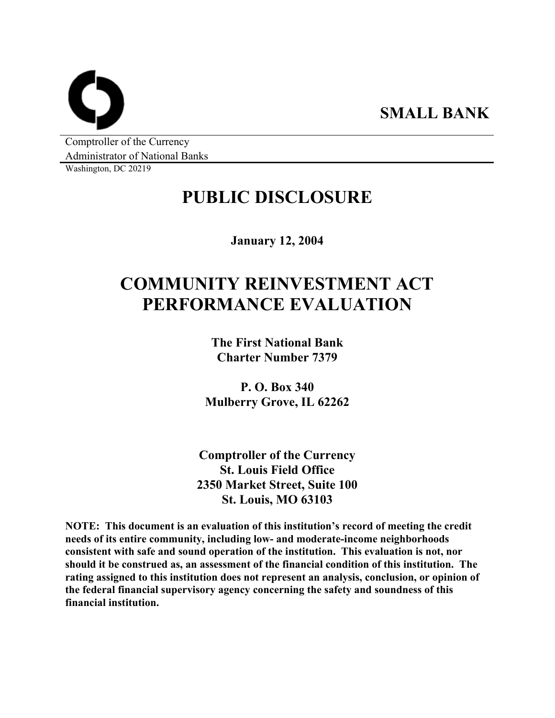**SMALL BANK** 

Comptroller of the Currency Administrator of National Banks

Washington, DC 20219

# **PUBLIC DISCLOSURE**

**January 12, 2004** 

# **COMMUNITY REINVESTMENT ACT PERFORMANCE EVALUATION**

**The First National Bank Charter Number 7379** 

**P. O. Box 340 Mulberry Grove, IL 62262** 

**Comptroller of the Currency St. Louis Field Office 2350 Market Street, Suite 100 St. Louis, MO 63103** 

**NOTE: This document is an evaluation of this institution's record of meeting the credit needs of its entire community, including low- and moderate-income neighborhoods consistent with safe and sound operation of the institution. This evaluation is not, nor should it be construed as, an assessment of the financial condition of this institution. The rating assigned to this institution does not represent an analysis, conclusion, or opinion of the federal financial supervisory agency concerning the safety and soundness of this financial institution.**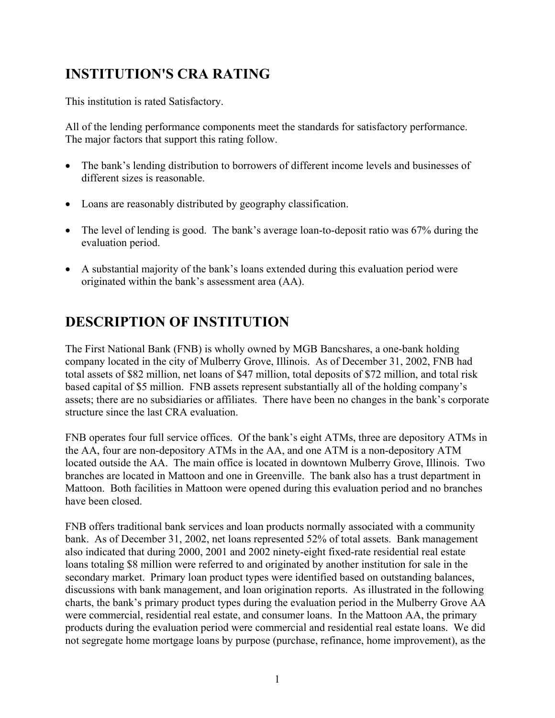# **INSTITUTION'S CRA RATING**

This institution is rated Satisfactory.

All of the lending performance components meet the standards for satisfactory performance. The major factors that support this rating follow.

- The bank's lending distribution to borrowers of different income levels and businesses of different sizes is reasonable.
- Loans are reasonably distributed by geography classification.
- The level of lending is good. The bank's average loan-to-deposit ratio was 67% during the evaluation period.
- A substantial majority of the bank's loans extended during this evaluation period were originated within the bank's assessment area (AA).

# **DESCRIPTION OF INSTITUTION**

The First National Bank (FNB) is wholly owned by MGB Bancshares, a one-bank holding company located in the city of Mulberry Grove, Illinois. As of December 31, 2002, FNB had total assets of \$82 million, net loans of \$47 million, total deposits of \$72 million, and total risk based capital of \$5 million. FNB assets represent substantially all of the holding company's assets; there are no subsidiaries or affiliates. There have been no changes in the bank's corporate structure since the last CRA evaluation.

FNB operates four full service offices. Of the bank's eight ATMs, three are depository ATMs in the AA, four are non-depository ATMs in the AA, and one ATM is a non-depository ATM located outside the AA. The main office is located in downtown Mulberry Grove, Illinois. Two branches are located in Mattoon and one in Greenville. The bank also has a trust department in Mattoon. Both facilities in Mattoon were opened during this evaluation period and no branches have been closed.

FNB offers traditional bank services and loan products normally associated with a community bank. As of December 31, 2002, net loans represented 52% of total assets. Bank management also indicated that during 2000, 2001 and 2002 ninety-eight fixed-rate residential real estate loans totaling \$8 million were referred to and originated by another institution for sale in the secondary market. Primary loan product types were identified based on outstanding balances, discussions with bank management, and loan origination reports. As illustrated in the following charts, the bank's primary product types during the evaluation period in the Mulberry Grove AA were commercial, residential real estate, and consumer loans. In the Mattoon AA, the primary products during the evaluation period were commercial and residential real estate loans. We did not segregate home mortgage loans by purpose (purchase, refinance, home improvement), as the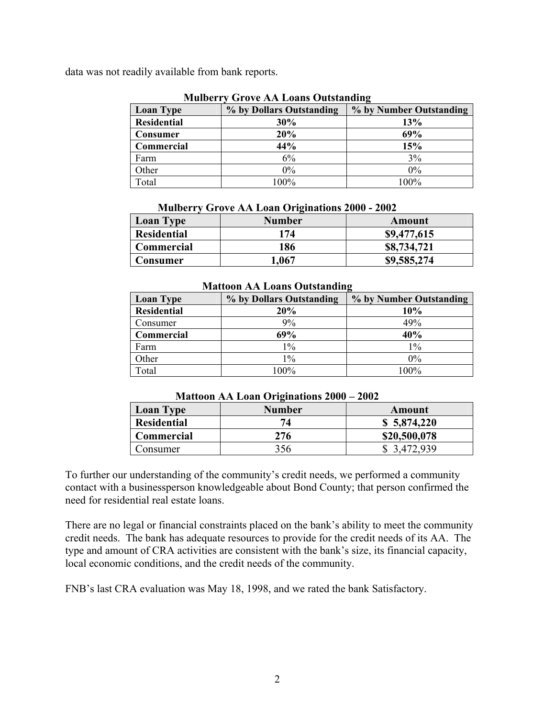data was not readily available from bank reports.

| $\mathbf{H}$ . The set of $\mathbf{H}$ of $\mathbf{H}$ is the set of $\mathbf{H}$ is the set of $\mathbf{H}$ |                          |                         |  |  |  |  |  |
|--------------------------------------------------------------------------------------------------------------|--------------------------|-------------------------|--|--|--|--|--|
| <b>Loan Type</b>                                                                                             | % by Dollars Outstanding | % by Number Outstanding |  |  |  |  |  |
| <b>Residential</b>                                                                                           | 30%                      | 13%                     |  |  |  |  |  |
| <b>Consumer</b>                                                                                              | 20%                      | 69%                     |  |  |  |  |  |
| Commercial                                                                                                   | 44%                      | 15%                     |  |  |  |  |  |
| Farm                                                                                                         | 6%                       | 3%                      |  |  |  |  |  |
| Other                                                                                                        | $0\%$                    | $0\%$                   |  |  |  |  |  |
| Total                                                                                                        | 100%                     | 100%                    |  |  |  |  |  |

#### **Mulberry Grove AA Loans Outstanding**

|  | <b>Mulberry Grove AA Loan Originations 2000 - 2002</b> |  |
|--|--------------------------------------------------------|--|
|  |                                                        |  |

| <b>Loan Type</b>   | <b>Number</b> | Amount      |
|--------------------|---------------|-------------|
| <b>Residential</b> | 174           | \$9,477,615 |
| <b>Commercial</b>  | 186           | \$8,734,721 |
| Consumer           | l,067         | \$9,585,274 |

#### **Mattoon AA Loans Outstanding**

| <b>Loan Type</b>   | % by Dollars Outstanding | % by Number Outstanding |
|--------------------|--------------------------|-------------------------|
| <b>Residential</b> | 20%                      | 10%                     |
| Consumer           | 9%                       | 49%                     |
| Commercial         | 69%                      | 40%                     |
| Farm               | $1\%$                    | $1\%$                   |
| Other              | $1\%$                    | $0\%$                   |
| Total              | 100%                     | $100\%$                 |

#### **Mattoon AA Loan Originations 2000 – 2002**

| <b>Loan Type</b>   | <b>Number</b> | Amount       |
|--------------------|---------------|--------------|
| <b>Residential</b> |               | \$5,874,220  |
| <b>Commercial</b>  | 276           | \$20,500,078 |
| Consumer           | 356           | 3,472,939    |

To further our understanding of the community's credit needs, we performed a community contact with a businessperson knowledgeable about Bond County; that person confirmed the need for residential real estate loans.

There are no legal or financial constraints placed on the bank's ability to meet the community credit needs. The bank has adequate resources to provide for the credit needs of its AA. The type and amount of CRA activities are consistent with the bank's size, its financial capacity, local economic conditions, and the credit needs of the community.

FNB's last CRA evaluation was May 18, 1998, and we rated the bank Satisfactory.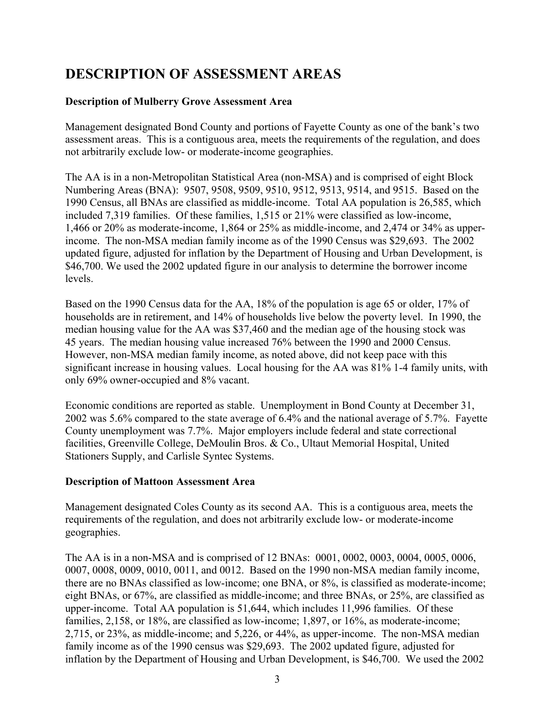# **DESCRIPTION OF ASSESSMENT AREAS**

## **Description of Mulberry Grove Assessment Area**

Management designated Bond County and portions of Fayette County as one of the bank's two assessment areas. This is a contiguous area, meets the requirements of the regulation, and does not arbitrarily exclude low- or moderate-income geographies.

The AA is in a non-Metropolitan Statistical Area (non-MSA) and is comprised of eight Block Numbering Areas (BNA): 9507, 9508, 9509, 9510, 9512, 9513, 9514, and 9515. Based on the 1990 Census, all BNAs are classified as middle-income. Total AA population is 26,585, which included 7,319 families. Of these families, 1,515 or 21% were classified as low-income, 1,466 or 20% as moderate-income, 1,864 or 25% as middle-income, and 2,474 or 34% as upperincome. The non-MSA median family income as of the 1990 Census was \$29,693. The 2002 updated figure, adjusted for inflation by the Department of Housing and Urban Development, is \$46,700. We used the 2002 updated figure in our analysis to determine the borrower income levels.

Based on the 1990 Census data for the AA, 18% of the population is age 65 or older, 17% of households are in retirement, and 14% of households live below the poverty level. In 1990, the median housing value for the AA was \$37,460 and the median age of the housing stock was 45 years. The median housing value increased 76% between the 1990 and 2000 Census. However, non-MSA median family income, as noted above, did not keep pace with this significant increase in housing values. Local housing for the AA was 81% 1-4 family units, with only 69% owner-occupied and 8% vacant.

Economic conditions are reported as stable. Unemployment in Bond County at December 31, 2002 was 5.6% compared to the state average of 6.4% and the national average of 5.7%. Fayette County unemployment was 7.7%. Major employers include federal and state correctional facilities, Greenville College, DeMoulin Bros. & Co., Ultaut Memorial Hospital, United Stationers Supply, and Carlisle Syntec Systems.

### **Description of Mattoon Assessment Area**

Management designated Coles County as its second AA. This is a contiguous area, meets the requirements of the regulation, and does not arbitrarily exclude low- or moderate-income geographies.

The AA is in a non-MSA and is comprised of 12 BNAs: 0001, 0002, 0003, 0004, 0005, 0006, 0007, 0008, 0009, 0010, 0011, and 0012. Based on the 1990 non-MSA median family income, there are no BNAs classified as low-income; one BNA, or 8%, is classified as moderate-income; eight BNAs, or 67%, are classified as middle-income; and three BNAs, or 25%, are classified as upper-income. Total AA population is 51,644, which includes 11,996 families. Of these families, 2,158, or 18%, are classified as low-income; 1,897, or 16%, as moderate-income; 2,715, or 23%, as middle-income; and 5,226, or 44%, as upper-income. The non-MSA median family income as of the 1990 census was \$29,693. The 2002 updated figure, adjusted for inflation by the Department of Housing and Urban Development, is \$46,700. We used the 2002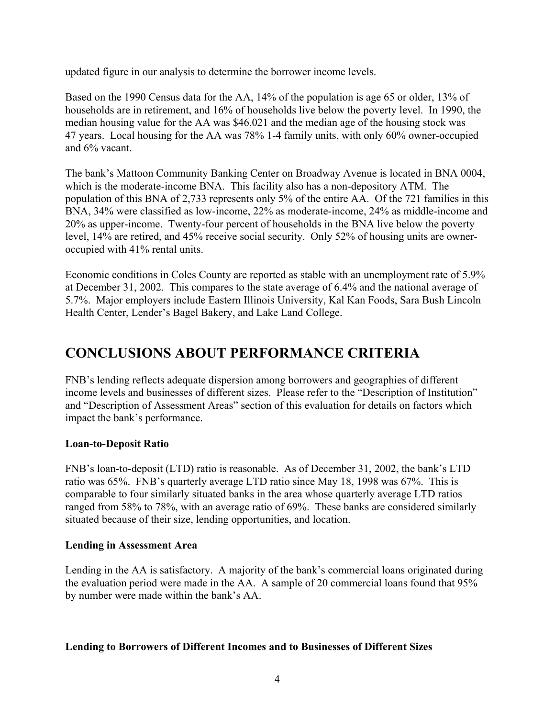updated figure in our analysis to determine the borrower income levels.

Based on the 1990 Census data for the AA, 14% of the population is age 65 or older, 13% of households are in retirement, and 16% of households live below the poverty level. In 1990, the median housing value for the AA was \$46,021 and the median age of the housing stock was 47 years. Local housing for the AA was 78% 1-4 family units, with only 60% owner-occupied and 6% vacant.

The bank's Mattoon Community Banking Center on Broadway Avenue is located in BNA 0004, which is the moderate-income BNA. This facility also has a non-depository ATM. The population of this BNA of 2,733 represents only 5% of the entire AA. Of the 721 families in this BNA, 34% were classified as low-income, 22% as moderate-income, 24% as middle-income and 20% as upper-income. Twenty-four percent of households in the BNA live below the poverty level, 14% are retired, and 45% receive social security. Only 52% of housing units are owneroccupied with 41% rental units.

Economic conditions in Coles County are reported as stable with an unemployment rate of 5.9% at December 31, 2002. This compares to the state average of 6.4% and the national average of 5.7%. Major employers include Eastern Illinois University, Kal Kan Foods, Sara Bush Lincoln Health Center, Lender's Bagel Bakery, and Lake Land College.

## **CONCLUSIONS ABOUT PERFORMANCE CRITERIA**

FNB's lending reflects adequate dispersion among borrowers and geographies of different income levels and businesses of different sizes. Please refer to the "Description of Institution" and "Description of Assessment Areas" section of this evaluation for details on factors which impact the bank's performance.

### **Loan-to-Deposit Ratio**

FNB's loan-to-deposit (LTD) ratio is reasonable. As of December 31, 2002, the bank's LTD ratio was 65%. FNB's quarterly average LTD ratio since May 18, 1998 was 67%. This is comparable to four similarly situated banks in the area whose quarterly average LTD ratios ranged from 58% to 78%, with an average ratio of 69%. These banks are considered similarly situated because of their size, lending opportunities, and location.

### **Lending in Assessment Area**

Lending in the AA is satisfactory. A majority of the bank's commercial loans originated during the evaluation period were made in the AA. A sample of 20 commercial loans found that 95% by number were made within the bank's AA.

### **Lending to Borrowers of Different Incomes and to Businesses of Different Sizes**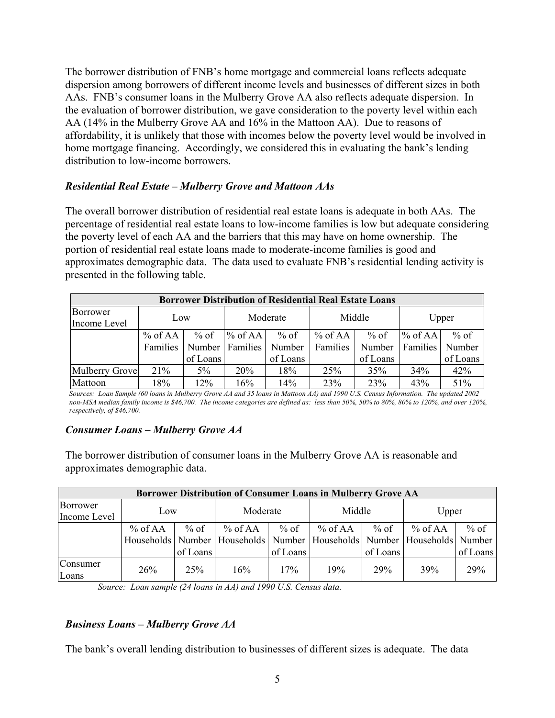The borrower distribution of FNB's home mortgage and commercial loans reflects adequate dispersion among borrowers of different income levels and businesses of different sizes in both AAs. FNB's consumer loans in the Mulberry Grove AA also reflects adequate dispersion. In the evaluation of borrower distribution, we gave consideration to the poverty level within each AA (14% in the Mulberry Grove AA and 16% in the Mattoon AA). Due to reasons of affordability, it is unlikely that those with incomes below the poverty level would be involved in home mortgage financing. Accordingly, we considered this in evaluating the bank's lending distribution to low-income borrowers.

#### *Residential Real Estate – Mulberry Grove and Mattoon AAs*

The overall borrower distribution of residential real estate loans is adequate in both AAs. The percentage of residential real estate loans to low-income families is low but adequate considering the poverty level of each AA and the barriers that this may have on home ownership. The portion of residential real estate loans made to moderate-income families is good and approximates demographic data. The data used to evaluate FNB's residential lending activity is presented in the following table.

| <b>Borrower Distribution of Residential Real Estate Loans</b> |           |          |           |          |           |          |           |          |  |  |
|---------------------------------------------------------------|-----------|----------|-----------|----------|-----------|----------|-----------|----------|--|--|
| Borrower<br>Income Level                                      | Low       |          | Moderate  |          | Middle    |          | Upper     |          |  |  |
|                                                               | $%$ of AA | % of     | $%$ of AA | $%$ of   | $%$ of AA | % of     | $%$ of AA | $%$ of   |  |  |
|                                                               | Families  | Number   | Families  | Number   | Families  | Number   | Families  | Number   |  |  |
|                                                               |           | of Loans |           | of Loans |           | of Loans |           | of Loans |  |  |
| <b>Mulberry Grove</b>                                         | 21%       | $5\%$    | 20%       | 18%      | 25%       | 35%      | 34%       | 42%      |  |  |
| Mattoon                                                       | 18%       | 12%      | 16%       | 14%      | 23%       | 23%      | 43%       | 51%      |  |  |

*Sources: Loan Sample (60 loans in Mulberry Grove AA and 35 loans in Mattoon AA) and 1990 U.S. Census Information. The updated 2002 non-MSA median family income is \$46,700. The income categories are defined as: less than 50%, 50% to 80%, 80% to 120%, and over 120%, respectively, of \$46,700.*

#### *Consumer Loans – Mulberry Grove AA*

The borrower distribution of consumer loans in the Mulberry Grove AA is reasonable and approximates demographic data.

| <b>Borrower Distribution of Consumer Loans in Mulberry Grove AA</b> |           |          |                                                                               |                       |         |          |         |          |  |  |
|---------------------------------------------------------------------|-----------|----------|-------------------------------------------------------------------------------|-----------------------|---------|----------|---------|----------|--|--|
| Borrower<br>Income Level                                            | Low       |          | Moderate                                                                      |                       | Middle  |          | Upper   |          |  |  |
|                                                                     | % of $AA$ |          | % of $\parallel$ % of AA                                                      | $%$ of $\blacksquare$ | % of AA | $%$ of   | % of AA | $%$ of   |  |  |
|                                                                     |           |          | Households Number   Households Number   Households Number   Households Number |                       |         |          |         |          |  |  |
|                                                                     |           | of Loans |                                                                               | of Loans              |         | of Loans |         | of Loans |  |  |
| Consumer<br>Loans                                                   | 26%       | 25%      | 16%                                                                           | 17%                   | 19%     | 29%      | 39%     | 29%      |  |  |

*Source: Loan sample (24 loans in AA) and 1990 U.S. Census data.* 

### *Business Loans – Mulberry Grove AA*

The bank's overall lending distribution to businesses of different sizes is adequate. The data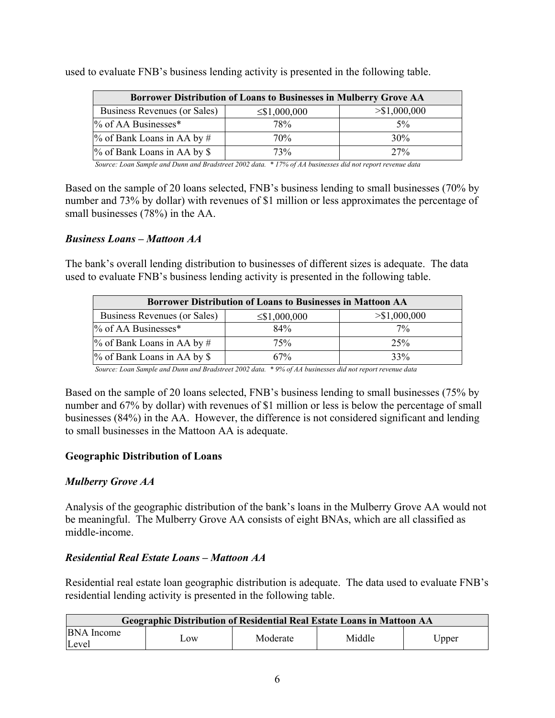| Borrower Distribution of Loans to Businesses in Mulberry Grove AA |                    |                |  |  |  |  |  |
|-------------------------------------------------------------------|--------------------|----------------|--|--|--|--|--|
| Business Revenues (or Sales)                                      | $\leq$ \$1,000,000 | $>\$1,000,000$ |  |  |  |  |  |
| $\%$ of AA Businesses*                                            | 78%                | $5\%$          |  |  |  |  |  |
| $\%$ of Bank Loans in AA by #                                     | 70%                | 30%            |  |  |  |  |  |
| $\%$ of Bank Loans in AA by \$                                    | 73 <sub>%</sub>    | $27\%$         |  |  |  |  |  |

used to evaluate FNB's business lending activity is presented in the following table.

*Source: Loan Sample and Dunn and Bradstreet 2002 data. \* 17% of AA businesses did not report revenue data* 

Based on the sample of 20 loans selected, FNB's business lending to small businesses (70% by number and 73% by dollar) with revenues of \$1 million or less approximates the percentage of small businesses (78%) in the AA.

#### *Business Loans – Mattoon AA*

The bank's overall lending distribution to businesses of different sizes is adequate. The data used to evaluate FNB's business lending activity is presented in the following table.

| <b>Borrower Distribution of Loans to Businesses in Mattoon AA</b> |                    |               |  |  |  |  |  |
|-------------------------------------------------------------------|--------------------|---------------|--|--|--|--|--|
| Business Revenues (or Sales)                                      | $\leq$ \$1,000,000 | > \$1,000,000 |  |  |  |  |  |
| % of AA Businesses*                                               | 84%                | $7\%$         |  |  |  |  |  |
| $\%$ of Bank Loans in AA by #                                     | 75%                | 25%           |  |  |  |  |  |
| % of Bank Loans in AA by \$                                       | 67%                | 33%           |  |  |  |  |  |

*Source: Loan Sample and Dunn and Bradstreet 2002 data. \* 9% of AA businesses did not report revenue data* 

Based on the sample of 20 loans selected, FNB's business lending to small businesses (75% by number and 67% by dollar) with revenues of \$1 million or less is below the percentage of small businesses (84%) in the AA. However, the difference is not considered significant and lending to small businesses in the Mattoon AA is adequate.

### **Geographic Distribution of Loans**

### *Mulberry Grove AA*

Analysis of the geographic distribution of the bank's loans in the Mulberry Grove AA would not be meaningful. The Mulberry Grove AA consists of eight BNAs, which are all classified as middle-income.

### *Residential Real Estate Loans – Mattoon AA*

Residential real estate loan geographic distribution is adequate. The data used to evaluate FNB's residential lending activity is presented in the following table.

| Geographic Distribution of Residential Real Estate Loans in Mattoon AA |               |          |        |       |  |  |
|------------------------------------------------------------------------|---------------|----------|--------|-------|--|--|
| <b>BNA</b> Income<br>Level                                             | $_{\rm{.0W}}$ | Moderate | Middle | Upper |  |  |